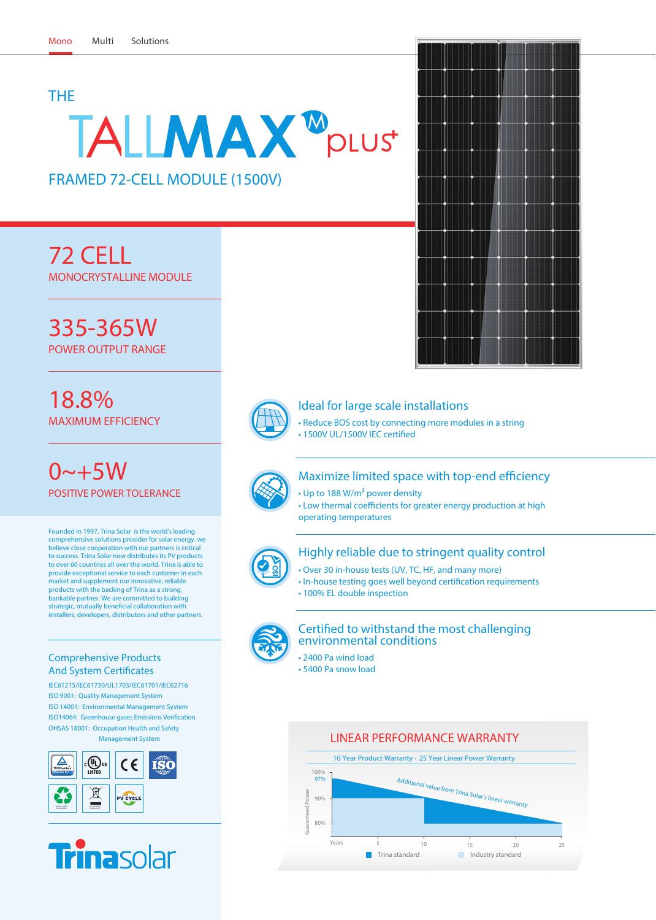# THE

# TALLMAX<sup>M</sup>plust

FRAMED 72-CELL MODULE (1500V)

**72 CELL** MONOCRYSTALLINE MODULE

**335-365W** POWER OUTPUT RANGE

**18.8%** MAXIMUM EFFICIENCY

**0~+5W** POSITIVE POWER TOLERANCE

Founded in 1997, Trina Solar is the world's leading comprehensive solutions provider for solar energy. we believe close cooperation with our partners is critical to success. Trina Solar now distributes its PV products to over 60 countries all over the world. Trina is able to provide exceptional service to each customer in each market and supplement our innovative, reliable products with the backing of Trina as a strong, bankable partner. We are committed to building strategic, mutually beneficial collaboration with installers, developers, distributors and other partners.

# Comprehensive Products **And System Certificates**

IEC61215/IEC61730/UL1703/IEC61701/IEC62716 ISO 9001: Quality Management System ISO 14001: Environmental Management System ISO14064: Greenhouse gases Emissions Verification OHSAS 18001: Occupation Health and Safety Management System





# Ideal for large scale installations

• Reduce BOS cost by connecting more modules in a string • 1500V UL/1500V IEC certified



# Maximize limited space with top-end efficiency

• Up to 188 W/m² power density

• Low thermal coefficients for greater energy production at high operating temperatures



# Highly reliable due to stringent quality control

- Over 30 in-house tests (UV, TC, HF, and many more)
- In-house testing goes well beyond certification requirements • 100% EL double inspection



## Certified to withstand the most challenging environmental conditions

• 2400 Pa wind load • 5400 Pa snow load